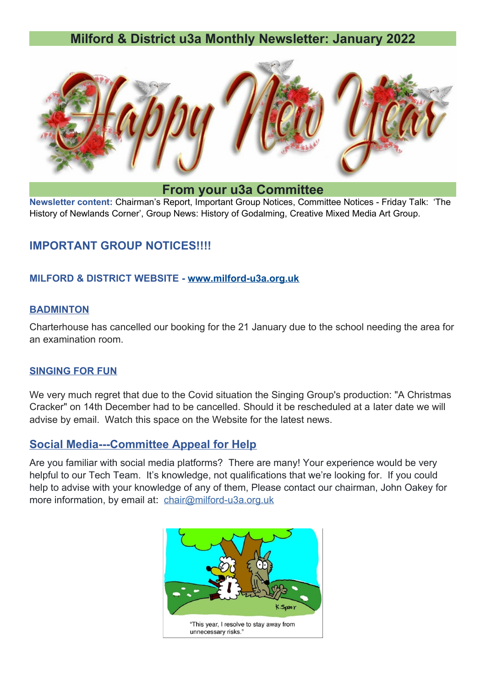# **Milford & District u3a Monthly Newsletter: January 2022**



**From your u3a Committee**

**Newsletter content:** Chairman's Report, Important Group Notices, Committee Notices - Friday Talk: 'The History of Newlands Corner', Group News: History of Godalming, Creative Mixed Media Art Group.

### **IMPORTANT GROUP NOTICES!!!!**

#### **MILFORD & DISTRICT WEBSITE -<www.milford-u3a.org.uk>**

#### **BADMINTON**

Charterhouse has cancelled our booking for the 21 January due to the school needing the area for an examination room.

#### **SINGING FOR FUN**

We very much regret that due to the Covid situation the Singing Group's production: "A Christmas Cracker" on 14th December had to be cancelled. Should it be rescheduled at a later date we will advise by email. Watch this space on the Website for the latest news.

### **Social Media---Committee Appeal for Help**

Are you familiar with social media platforms? There are many! Your experience would be very helpful to our Tech Team. It's knowledge, not qualifications that we're looking for. If you could help to advise with your knowledge of any of them, Please contact our chairman, John Oakey for more information, by email at: [chair@milford-u3a.org.uk](mailto:chair@milford-u3a.org.uk)

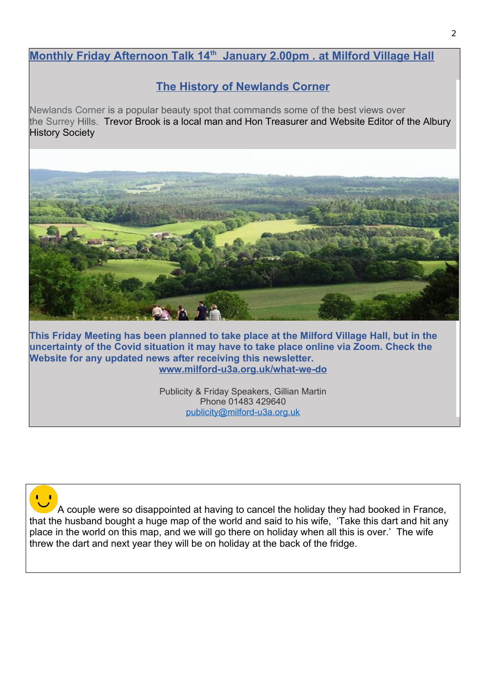## **Monthly Friday Afternoon Talk 14th January 2.00pm . at Milford Village Hall**

# **The History of Newlands Corner**

Newlands Corner is a popular beauty spot that commands some of the best views over the Surrey Hills. Trevor Brook is a local man and Hon Treasurer and Website Editor of the Albury History Society



**This Friday Meeting has been planned to take place at the Milford Village Hall, but in the uncertainty of the Covid situation it may have to take place online via Zoom. Check the Website for any updated news after receiving this newsletter. [www.milford-u3a.org.uk/what-we-do](http://www.milford-u3a.org.uk/what-we-do)**

> Publicity & Friday Speakers, Gillian Martin Phone 01483 429640 [publicity@milford-u3a.org.uk](mailto:publicity@milford-u3a.org.uk)

A couple were so disappointed at having to cancel the holiday they had booked in France, that the husband bought a huge map of the world and said to his wife, 'Take this dart and hit any place in the world on this map, and we will go there on holiday when all this is over.' The wife threw the dart and next year they will be on holiday at the back of the fridge.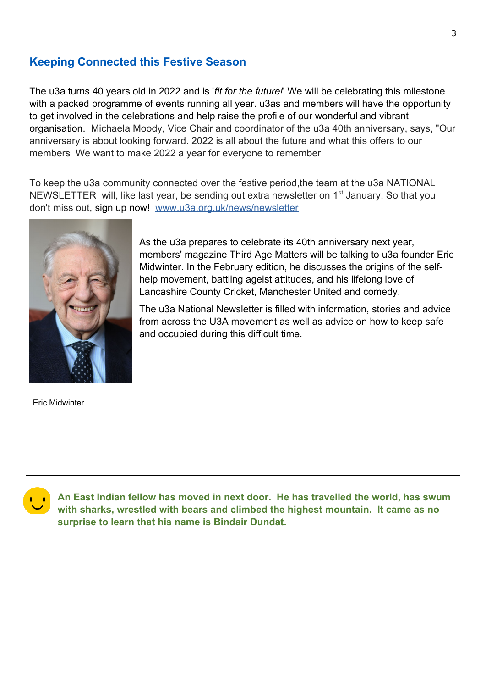### **Keeping Connected this Festive Season**

The u3a turns 40 years old in 2022 and is '*fit for the future!*' We will be celebrating this milestone with a packed programme of events running all year. u3as and members will have the opportunity to get involved in the celebrations and help raise the profile of our wonderful and vibrant organisation. Michaela Moody, Vice Chair and coordinator of the u3a 40th anniversary, says, "Our anniversary is about looking forward. 2022 is all about the future and what this offers to our members We want to make 2022 a year for everyone to remember

To keep the u3a community connected over the festive period,the team at the u3a NATIONAL NEWSLETTER will, like last year, be sending out extra newsletter on 1<sup>st</sup> January. So that you don't miss out, sign up now! [www.u3a.org.uk/news/newsletter](http://www.u3a.org.uk/news/newsletter)



As the u3a prepares to celebrate its 40th anniversary next year, members' magazine Third Age Matters will be talking to u3a founder Eric Midwinter. In the February edition, he discusses the origins of the selfhelp movement, battling ageist attitudes, and his lifelong love of Lancashire County Cricket, Manchester United and comedy.

The u3a National Newsletter is filled with information, stories and advice from across the U3A movement as well as advice on how to keep safe and occupied during this difficult time.

Eric Midwinter



**An East Indian fellow has moved in next door. He has travelled the world, has swum with sharks, wrestled with bears and climbed the highest mountain. It came as no surprise to learn that his name is Bindair Dundat.**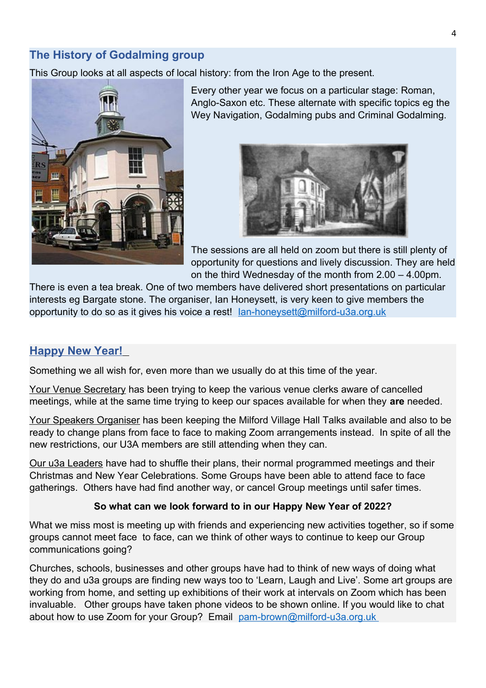## **The History of Godalming group**

This Group looks at all aspects of local history: from the Iron Age to the present.



Every other year we focus on a particular stage: Roman, Anglo-Saxon etc. These alternate with specific topics eg the Wey Navigation, Godalming pubs and Criminal Godalming.



The sessions are all held on zoom but there is still plenty of opportunity for questions and lively discussion. They are held on the third Wednesday of the month from 2.00 – 4.00pm.

There is even a tea break. One of two members have delivered short presentations on particular interests eg Bargate stone. The organiser, Ian Honeysett, is very keen to give members the opportunity to do so as it gives his voice a rest! [Ian-honeysett@milford-u3a.org.uk](mailto:Ian-honeysett@milford-u3a.org.uk)

## **Happy New Year!**

Something we all wish for, even more than we usually do at this time of the year.

Your Venue Secretary has been trying to keep the various venue clerks aware of cancelled meetings, while at the same time trying to keep our spaces available for when they **are** needed.

Your Speakers Organiser has been keeping the Milford Village Hall Talks available and also to be ready to change plans from face to face to making Zoom arrangements instead. In spite of all the new restrictions, our U3A members are still attending when they can.

Our u3a Leaders have had to shuffle their plans, their normal programmed meetings and their Christmas and New Year Celebrations. Some Groups have been able to attend face to face gatherings. Others have had find another way, or cancel Group meetings until safer times.

#### **So what can we look forward to in our Happy New Year of 2022?**

What we miss most is meeting up with friends and experiencing new activities together, so if some groups cannot meet face to face, can we think of other ways to continue to keep our Group communications going?

Churches, schools, businesses and other groups have had to think of new ways of doing what they do and u3a groups are finding new ways too to 'Learn, Laugh and Live'. Some art groups are working from home, and setting up exhibitions of their work at intervals on Zoom which has been invaluable. Other groups have taken phone videos to be shown online. If you would like to chat about how to use Zoom for your Group? Email [pam-brown@milford-u3a.org.uk](mailto:pam-brown@milford-u3a.org.uk)